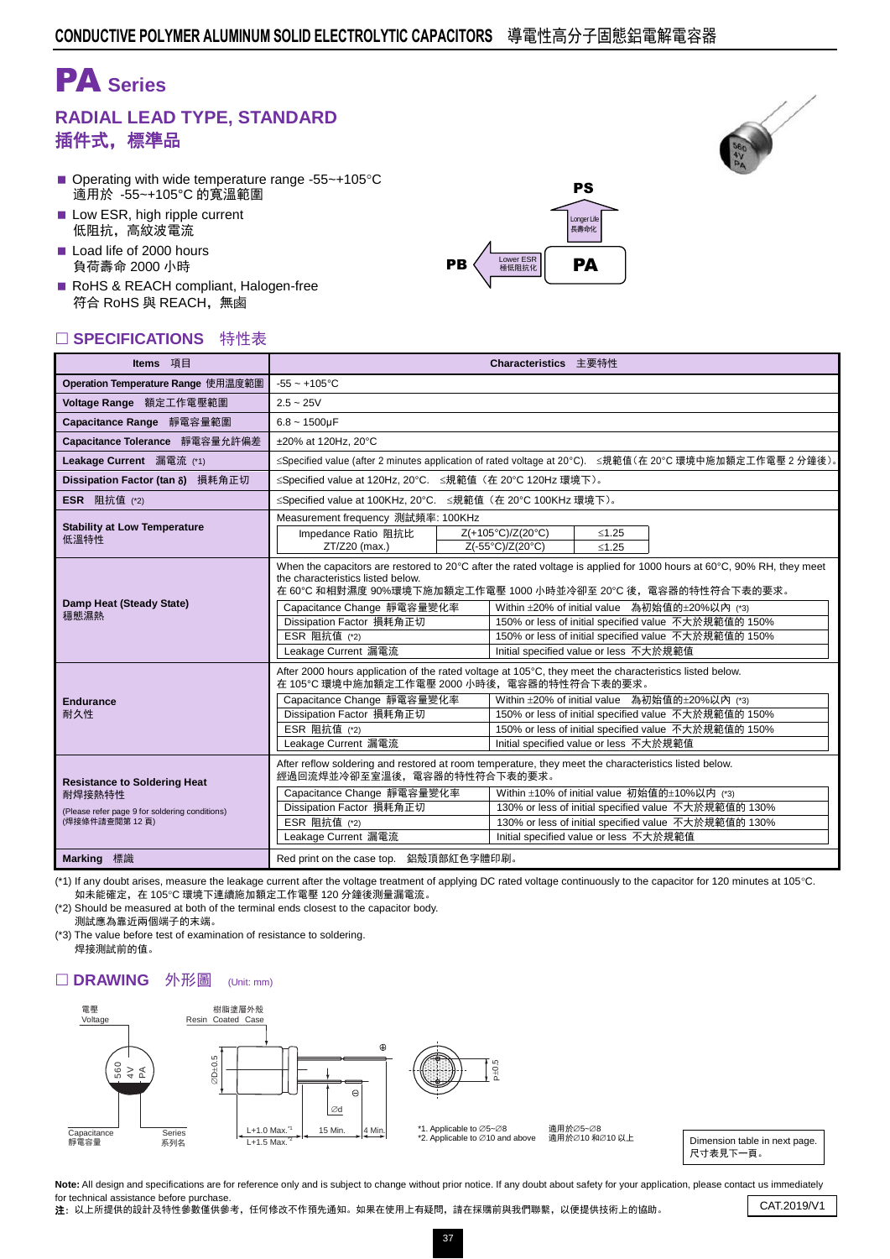# PA **Series**

### **RADIAL LEAD TYPE, STANDARD** 插件式,標準品

- Operating with wide temperature range -55 $\sim$ +105 $\degree$ C 適用於 -55~+105°C 的寬溫範圍
- Low ESR, high ripple current 低阻抗,高紋波電流
- Load life of 2000 hours 負荷壽命 2000 小時
- RoHS & REACH compliant, Halogen-free 符合 RoHS 與 REACH,無鹵

#### □ SPECIFICATIONS 特性表





| Items 項目                                                                                                         | Characteristics 主要特性                                                                                                                                                                                                                 |                                                                                                                                                                                                                                                                                                                                                                                                 |                                                                                                                                                                                                                                                                                                                    |         |                                                                                                                                                              |  |  |  |  |  |
|------------------------------------------------------------------------------------------------------------------|--------------------------------------------------------------------------------------------------------------------------------------------------------------------------------------------------------------------------------------|-------------------------------------------------------------------------------------------------------------------------------------------------------------------------------------------------------------------------------------------------------------------------------------------------------------------------------------------------------------------------------------------------|--------------------------------------------------------------------------------------------------------------------------------------------------------------------------------------------------------------------------------------------------------------------------------------------------------------------|---------|--------------------------------------------------------------------------------------------------------------------------------------------------------------|--|--|--|--|--|
| Operation Temperature Range 使用温度範圍                                                                               | $-55 - +105$ °C                                                                                                                                                                                                                      |                                                                                                                                                                                                                                                                                                                                                                                                 |                                                                                                                                                                                                                                                                                                                    |         |                                                                                                                                                              |  |  |  |  |  |
| Voltage Range 額定工作電壓範圍                                                                                           | $2.5 - 25V$                                                                                                                                                                                                                          |                                                                                                                                                                                                                                                                                                                                                                                                 |                                                                                                                                                                                                                                                                                                                    |         |                                                                                                                                                              |  |  |  |  |  |
| Capacitance Range 靜電容量範圍                                                                                         | $6.8 - 1500 \mu F$                                                                                                                                                                                                                   |                                                                                                                                                                                                                                                                                                                                                                                                 |                                                                                                                                                                                                                                                                                                                    |         |                                                                                                                                                              |  |  |  |  |  |
| Capacitance Tolerance 靜電容量允許偏差                                                                                   | ±20% at 120Hz, 20°C                                                                                                                                                                                                                  |                                                                                                                                                                                                                                                                                                                                                                                                 |                                                                                                                                                                                                                                                                                                                    |         |                                                                                                                                                              |  |  |  |  |  |
| Leakage Current 漏電流 (*1)                                                                                         | ≤Specified value (after 2 minutes application of rated voltage at 20°C). ≤規範值(在 20°C 環境中施加額定工作電壓 2 分鐘後)。                                                                                                                             |                                                                                                                                                                                                                                                                                                                                                                                                 |                                                                                                                                                                                                                                                                                                                    |         |                                                                                                                                                              |  |  |  |  |  |
| Dissipation Factor (tan 8) 損耗角正切                                                                                 | ≤Specified value at 120Hz, 20°C. ≤規範值 (在 20°C 120Hz 環境下)。                                                                                                                                                                            |                                                                                                                                                                                                                                                                                                                                                                                                 |                                                                                                                                                                                                                                                                                                                    |         |                                                                                                                                                              |  |  |  |  |  |
| <b>ESR</b> 阻抗值 (*2)                                                                                              | ≤Specified value at 100KHz, 20°C. ≤規範值 (在 20°C 100KHz 環境下)。                                                                                                                                                                          |                                                                                                                                                                                                                                                                                                                                                                                                 |                                                                                                                                                                                                                                                                                                                    |         |                                                                                                                                                              |  |  |  |  |  |
|                                                                                                                  | Measurement frequency 測試頻率: 100KHz                                                                                                                                                                                                   |                                                                                                                                                                                                                                                                                                                                                                                                 |                                                                                                                                                                                                                                                                                                                    |         |                                                                                                                                                              |  |  |  |  |  |
| <b>Stability at Low Temperature</b><br>低溫特性                                                                      | Impedance Ratio 阻抗比                                                                                                                                                                                                                  |                                                                                                                                                                                                                                                                                                                                                                                                 | Z(+105°C)/Z(20°C)                                                                                                                                                                                                                                                                                                  | $≤1.25$ |                                                                                                                                                              |  |  |  |  |  |
|                                                                                                                  | ZT/Z20 (max.)                                                                                                                                                                                                                        |                                                                                                                                                                                                                                                                                                                                                                                                 | Z(-55°C)/Z(20°C)                                                                                                                                                                                                                                                                                                   | $≤1.25$ |                                                                                                                                                              |  |  |  |  |  |
| Damp Heat (Steady State)<br>穩態濕熱                                                                                 | the characteristics listed below.<br>Capacitance Change 靜電容量變化率<br>Dissipation Factor 損耗角正切<br>ESR 阻抗值 (*2)<br>Leakage Current 漏電流                                                                                                   | When the capacitors are restored to 20°C after the rated voltage is applied for 1000 hours at 60°C, 90% RH, they meet<br>在 60℃ 和相對濕度 90%環境下施加額定工作電壓 1000 小時並冷卻至 20℃ 後,電容器的特性符合下表的要求。<br>Within ±20% of initial value 為初始值的±20%以內 (*3)<br>150% or less of initial specified value 不大於規範值的 150%<br>150% or less of initial specified value 不大於規範值的 150%<br>Initial specified value or less 不大於規範值 |                                                                                                                                                                                                                                                                                                                    |         |                                                                                                                                                              |  |  |  |  |  |
| <b>Endurance</b><br>耐久性                                                                                          | 在 105℃ 環境中施加額定工作電壓 2000 小時後,電容器的特性符合下表的要求。<br>Capacitance Change 靜電容量變化率<br>Dissipation Factor 損耗角正切<br>ESR 阻抗值 (*2)<br>Leakage Current 漏電流                                                                                          |                                                                                                                                                                                                                                                                                                                                                                                                 | After 2000 hours application of the rated voltage at 105°C, they meet the characteristics listed below.<br>Within ±20% of initial value 為初始值的±20%以內 (*3)<br>150% or less of initial specified value 不大於規範值的 150%<br>150% or less of initial specified value 不大於規範值的 150%<br>Initial specified value or less 不大於規範值 |         |                                                                                                                                                              |  |  |  |  |  |
| <b>Resistance to Soldering Heat</b><br>耐焊接熱特性<br>(Please refer page 9 for soldering conditions)<br>(焊接條件請查閱第12頁) | After reflow soldering and restored at room temperature, they meet the characteristics listed below.<br>經過回流焊並冷卻至室溫後,電容器的特性符合下表的要求。<br>Capacitance Change 靜電容量變化率<br>Dissipation Factor 損耗角正切<br>ESR 阻抗值 (*2)<br>Leakage Current 漏電流 |                                                                                                                                                                                                                                                                                                                                                                                                 | Initial specified value or less 不大於規範值                                                                                                                                                                                                                                                                             |         | Within ±10% of initial value 初始值的±10%以内 (*3)<br>130% or less of initial specified value 不大於規範值的 130%<br>130% or less of initial specified value 不大於規範值的 130% |  |  |  |  |  |
| Marking 標識                                                                                                       | Red print on the case top. 鋁殼頂部紅色字體印刷。                                                                                                                                                                                               |                                                                                                                                                                                                                                                                                                                                                                                                 |                                                                                                                                                                                                                                                                                                                    |         |                                                                                                                                                              |  |  |  |  |  |

(\*1) If any doubt arises, measure the leakage current after the voltage treatment of applying DC rated voltage continuously to the capacitor for 120 minutes at 105°C. 如未能確定, 在 105℃ 環境下連續施加額定工作電壓 120 分鐘後測量漏電流。

(\*2) Should be measured at both of the terminal ends closest to the capacitor body. 測試應為靠近兩個端子的末端。

(\*3) The value before test of examination of resistance to soldering. 焊接測試前的值。

#### □ DRAWING 外形圖 (Unit: mm)



適用於∅5~Ø8 過用於⊘5~©0<br>適用於⊘10 和∅10 以上

Dimension table in next page. 尺寸表見下一頁。

Note: All design and specifications are for reference only and is subject to change without prior notice. If any doubt about safety for your application, please contact us immediately for technical assistance before purchase. Tor technical assistance before purchase.<br>2: 以上所提供的設計及特性參數僅供參考,任何修改不作預先通知。如果在使用上有疑問,請在採購前與我們聯繫,以便提供技術上的協助。 CAT.2019/V1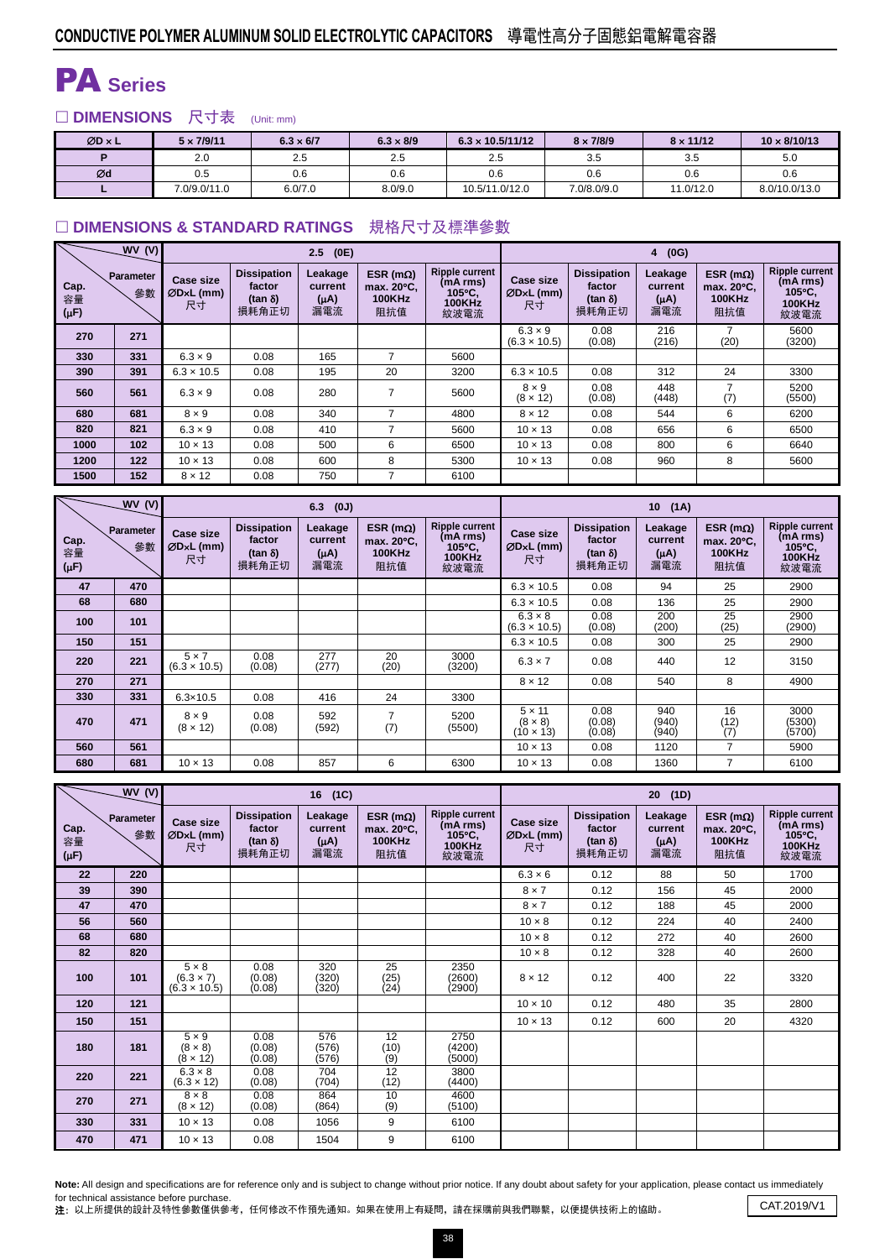## PA **Series**

□ DIMENSIONS 尺寸表 (Unit: mm)

| $ØD \times L$ | $5 \times 7/9/11$ | $6.3 \times 6/7$ | $6.3 \times 8/9$ | $6.3 \times 10.5/11/12$ | $8 \times 7/8/9$ | $8 \times 11/12$ | $10 \times 8/10/13$ |
|---------------|-------------------|------------------|------------------|-------------------------|------------------|------------------|---------------------|
|               | 2.0               | 2.5              | 2.5              | 2.5                     | 3.5              | 3.5              | 5.0                 |
| Ød            | 0.5               | 0.6              | 0.6              | 0.6                     | 0.6              | 0.6              | 0.6                 |
|               | 7.0/9.0/11.0      | 6.0/7.0          | 8.0/9.0          | 10.5/11.0/12.0          | 7.0/8.0/9.0      | 11.0/12.0        | 8.0/10.0/13.0       |

#### **DIMENSIONS & STANDARD RATINGS** 規格尺寸及標準參數

|                         | WV(V)                  |                                       |                                                         | (0E)<br>2.5                            |                                                  |                                                                      |                                       |                                                         | (0G)<br>$\overline{4}$                 |                                                  |                                                                      |
|-------------------------|------------------------|---------------------------------------|---------------------------------------------------------|----------------------------------------|--------------------------------------------------|----------------------------------------------------------------------|---------------------------------------|---------------------------------------------------------|----------------------------------------|--------------------------------------------------|----------------------------------------------------------------------|
| Cap.<br>容量<br>$(\mu F)$ | <b>Parameter</b><br>參數 | <b>Case size</b><br>$ØDxL$ (mm)<br>尺寸 | <b>Dissipation</b><br>factor<br>$(tan \delta)$<br>損耗角正切 | Leakage<br>current<br>$(\mu A)$<br>漏電流 | ESR ( $m\Omega$ )<br>max. 20°C.<br>100KHz<br>阻抗值 | <b>Ripple current</b><br>(mA rms)<br>105°C.<br><b>100KHz</b><br>紋波電流 | <b>Case size</b><br>$ØDxL$ (mm)<br>尺寸 | <b>Dissipation</b><br>factor<br>$(tan \delta)$<br>損耗角正切 | Leakage<br>current<br>$(\mu A)$<br>漏電流 | ESR ( $m\Omega$ )<br>max. 20°C.<br>100KHz<br>阻抗值 | <b>Ripple current</b><br>(mA rms)<br>105°C.<br><b>100KHz</b><br>紋波電流 |
| 270                     | 271                    |                                       |                                                         |                                        |                                                  |                                                                      | $6.3 \times 9$<br>$(6.3 \times 10.5)$ | 0.08<br>(0.08)                                          | 216<br>(216)                           | (20)                                             | 5600<br>(3200)                                                       |
| 330                     | 331                    | $6.3 \times 9$                        | 0.08                                                    | 165                                    | ⇁                                                | 5600                                                                 |                                       |                                                         |                                        |                                                  |                                                                      |
| 390                     | 391                    | $6.3 \times 10.5$                     | 0.08                                                    | 195                                    | 20                                               | 3200                                                                 | $6.3 \times 10.5$                     | 0.08                                                    | 312                                    | 24                                               | 3300                                                                 |
| 560                     | 561                    | $6.3 \times 9$                        | 0.08                                                    | 280                                    |                                                  | 5600                                                                 | $8 \times 9$<br>$(8 \times 12)$       | 0.08<br>(0.08)                                          | 448<br>(448)                           | $\overline{ }$<br>(7)                            | 5200<br>(5500)                                                       |
| 680                     | 681                    | $8 \times 9$                          | 0.08                                                    | 340                                    | ⇁                                                | 4800                                                                 | $8 \times 12$                         | 0.08                                                    | 544                                    | 6                                                | 6200                                                                 |
| 820                     | 821                    | $6.3 \times 9$                        | 0.08                                                    | 410                                    | 7                                                | 5600                                                                 | $10 \times 13$                        | 0.08                                                    | 656                                    | 6                                                | 6500                                                                 |
| 1000                    | 102                    | $10 \times 13$                        | 0.08                                                    | 500                                    | 6                                                | 6500                                                                 | $10 \times 13$                        | 0.08                                                    | 800                                    | 6                                                | 6640                                                                 |
| 1200                    | 122                    | $10 \times 13$                        | 0.08                                                    | 600                                    | 8                                                | 5300                                                                 | $10 \times 13$                        | 0.08                                                    | 960                                    | 8                                                | 5600                                                                 |
| 1500                    | 152                    | $8 \times 12$                         | 0.08                                                    | 750                                    | 7                                                | 6100                                                                 |                                       |                                                         |                                        |                                                  |                                                                      |

|                         | <b>WV (V)</b>          |                                     |                                                         | $6.3$ (0J)                             |                                                  |                                                                      | 10(1A)                                              |                                                         |                                        |                                                  |                                                                      |  |  |
|-------------------------|------------------------|-------------------------------------|---------------------------------------------------------|----------------------------------------|--------------------------------------------------|----------------------------------------------------------------------|-----------------------------------------------------|---------------------------------------------------------|----------------------------------------|--------------------------------------------------|----------------------------------------------------------------------|--|--|
| Cap.<br>容量<br>$(\mu F)$ | <b>Parameter</b><br>參數 | Case size<br>ØD×L (mm)<br>尺寸        | <b>Dissipation</b><br>factor<br>$(tan \delta)$<br>損耗角正切 | Leakage<br>current<br>$(\mu A)$<br>漏電流 | ESR ( $m\Omega$ )<br>max. 20°C.<br>100KHz<br>阻抗值 | <b>Ripple current</b><br>(mA rms)<br>105°C.<br><b>100KHz</b><br>紋波電流 | <b>Case size</b><br>$ØDxL$ (mm)<br>尺寸               | <b>Dissipation</b><br>factor<br>$(tan \delta)$<br>損耗角正切 | Leakage<br>current<br>$(\mu A)$<br>漏電流 | ESR ( $m\Omega$ )<br>max. 20°C.<br>100KHz<br>阻抗值 | <b>Ripple current</b><br>(mA rms)<br>105°C.<br><b>100KHz</b><br>紋波電流 |  |  |
| 47                      | 470                    |                                     |                                                         |                                        |                                                  |                                                                      | $6.3 \times 10.5$                                   | 0.08                                                    | 94                                     | 25                                               | 2900                                                                 |  |  |
| 68                      | 680                    |                                     |                                                         |                                        |                                                  |                                                                      | $6.3 \times 10.5$                                   | 0.08                                                    | 136                                    | 25                                               | 2900                                                                 |  |  |
| 100                     | 101                    |                                     |                                                         |                                        |                                                  |                                                                      | $6.3 \times 8$<br>$(6.3 \times 10.5)$               | 0.08<br>(0.08)                                          | 200<br>(200)                           | 25<br>(25)                                       | 2900<br>(2900)                                                       |  |  |
| 150                     | 151                    |                                     |                                                         |                                        |                                                  |                                                                      | $6.3 \times 10.5$                                   | 0.08                                                    | 300                                    | 25                                               | 2900                                                                 |  |  |
| 220                     | 221                    | $5 \times 7$<br>$(6.3 \times 10.5)$ | 0.08<br>(0.08)                                          | 277<br>(277)                           | 20<br>(20)                                       | 3000<br>(3200)                                                       | $6.3 \times 7$                                      | 0.08                                                    | 440                                    | 12                                               | 3150                                                                 |  |  |
| 270                     | 271                    |                                     |                                                         |                                        |                                                  |                                                                      | $8 \times 12$                                       | 0.08                                                    | 540                                    | 8                                                | 4900                                                                 |  |  |
| 330                     | 331                    | $6.3 \times 10.5$                   | 0.08                                                    | 416                                    | 24                                               | 3300                                                                 |                                                     |                                                         |                                        |                                                  |                                                                      |  |  |
| 470                     | 471                    | $8 \times 9$<br>$(8 \times 12)$     | 0.08<br>(0.08)                                          | 592<br>(592)                           | 7<br>(7)                                         | 5200<br>(5500)                                                       | $5 \times 11$<br>$(8 \times 8)$<br>$(10 \times 13)$ | 0.08<br>(0.08)<br>(0.08)                                | 940<br>(940)<br>(940)                  | 16<br>(12)<br>(7)                                | 3000<br>(5300)<br>(5700)                                             |  |  |
| 560                     | 561                    |                                     |                                                         |                                        |                                                  |                                                                      | $10 \times 13$                                      | 0.08                                                    | 1120                                   | 7                                                | 5900                                                                 |  |  |
| 680                     | 681                    | $10 \times 13$                      | 0.08                                                    | 857                                    | 6                                                | 6300                                                                 | $10 \times 13$                                      | 0.08                                                    | 1360                                   | 7                                                | 6100                                                                 |  |  |

|                         | <b>WV (V)</b>   |                                                         |                                                          | 16 (1C)                                |                                                         |                                                                      | (1D)<br>20 <sub>2</sub>               |                                                         |                                        |                                                         |                                                                      |  |
|-------------------------|-----------------|---------------------------------------------------------|----------------------------------------------------------|----------------------------------------|---------------------------------------------------------|----------------------------------------------------------------------|---------------------------------------|---------------------------------------------------------|----------------------------------------|---------------------------------------------------------|----------------------------------------------------------------------|--|
| Cap.<br>容量<br>$(\mu F)$ | Parameter<br>參數 | <b>Case size</b><br>ØDxL (mm)<br>尺寸                     | <b>Dissipation</b><br>factor<br>(tan $\delta$ )<br>損耗角正切 | Leakage<br>current<br>$(\mu A)$<br>漏電流 | ESR ( $m\Omega$ )<br>max. 20°C.<br><b>100KHz</b><br>阻抗值 | <b>Ripple current</b><br>(mA rms)<br>105°C.<br><b>100KHz</b><br>紋波電流 | <b>Case size</b><br>$ØDxL$ (mm)<br>尺寸 | <b>Dissipation</b><br>factor<br>$(tan \delta)$<br>損耗角正切 | Leakage<br>current<br>$(\mu A)$<br>漏電流 | ESR ( $m\Omega$ )<br>max. 20°C.<br><b>100KHz</b><br>阻抗值 | <b>Ripple current</b><br>(mA rms)<br>105°C,<br><b>100KHz</b><br>紋波電流 |  |
| 22                      | 220             |                                                         |                                                          |                                        |                                                         |                                                                      | $6.3 \times 6$                        | 0.12                                                    | 88                                     | 50                                                      | 1700                                                                 |  |
| 39                      | 390             |                                                         |                                                          |                                        |                                                         |                                                                      | $8 \times 7$                          | 0.12                                                    | 156                                    | 45                                                      | 2000                                                                 |  |
| 47                      | 470             |                                                         |                                                          |                                        |                                                         |                                                                      | $8 \times 7$                          | 0.12                                                    | 188                                    | 45                                                      | 2000                                                                 |  |
| 56                      | 560             |                                                         |                                                          |                                        |                                                         |                                                                      | $10 \times 8$                         | 0.12                                                    | 224                                    | 40                                                      | 2400                                                                 |  |
| 68                      | 680             |                                                         |                                                          |                                        |                                                         |                                                                      | $10 \times 8$                         | 0.12                                                    | 272                                    | 40                                                      | 2600                                                                 |  |
| 82                      | 820             |                                                         |                                                          |                                        |                                                         |                                                                      | $10 \times 8$                         | 0.12                                                    | 328                                    | 40                                                      | 2600                                                                 |  |
| 100                     | 101             | $5 \times 8$<br>$(6.3 \times 7)$<br>$(6.3 \times 10.5)$ | 0.08<br>(0.08)<br>(0.08)                                 | 320<br>(320)<br>(320)                  | 25<br>(25)<br>(24)                                      | 2350<br>(2600)<br>(2900)                                             | $8 \times 12$                         | 0.12                                                    | 400                                    | 22                                                      | 3320                                                                 |  |
| 120                     | 121             |                                                         |                                                          |                                        |                                                         |                                                                      | $10 \times 10$                        | 0.12                                                    | 480                                    | 35                                                      | 2800                                                                 |  |
| 150                     | 151             |                                                         |                                                          |                                        |                                                         |                                                                      | $10 \times 13$                        | 0.12                                                    | 600                                    | 20                                                      | 4320                                                                 |  |
| 180                     | 181             | $5 \times 9$<br>$(8 \times 8)$<br>$(8 \times 12)$       | 0.08<br>(0.08)<br>(0.08)                                 | 576<br>(576)<br>(576)                  | 12<br>(10)<br>$(9)^{^{\prime }}$                        | 2750<br>(4200)<br>(5000)                                             |                                       |                                                         |                                        |                                                         |                                                                      |  |
| 220                     | 221             | $6.3 \times 8$<br>$(6.3 \times 12)$                     | 0.08<br>(0.08)                                           | 704<br>(704)                           | $\overline{12}$<br>(12)                                 | 3800<br>(4400)                                                       |                                       |                                                         |                                        |                                                         |                                                                      |  |
| 270                     | 271             | $8 \times 8$<br>$(8 \times 12)$                         | 0.08<br>(0.08)                                           | 864<br>(864)                           | 10<br>(9)                                               | 4600<br>(5100)                                                       |                                       |                                                         |                                        |                                                         |                                                                      |  |
| 330                     | 331             | $10 \times 13$                                          | 0.08                                                     | 1056                                   | 9                                                       | 6100                                                                 |                                       |                                                         |                                        |                                                         |                                                                      |  |
| 470                     | 471             | $10 \times 13$                                          | 0.08                                                     | 1504                                   | 9                                                       | 6100                                                                 |                                       |                                                         |                                        |                                                         |                                                                      |  |

Note: All design and specifications are for reference only and is subject to change without prior notice. If any doubt about safety for your application, please contact us immediately for technical assistance before purchase.

for technical assistance before purchase.<br>2: 以上所提供的設計及特性參數僅供參考,任何修改不作預先通知。如果在使用上有疑問,請在採購前與我們聯繫,以便提供技術上的協助。 CAT.2019/V1